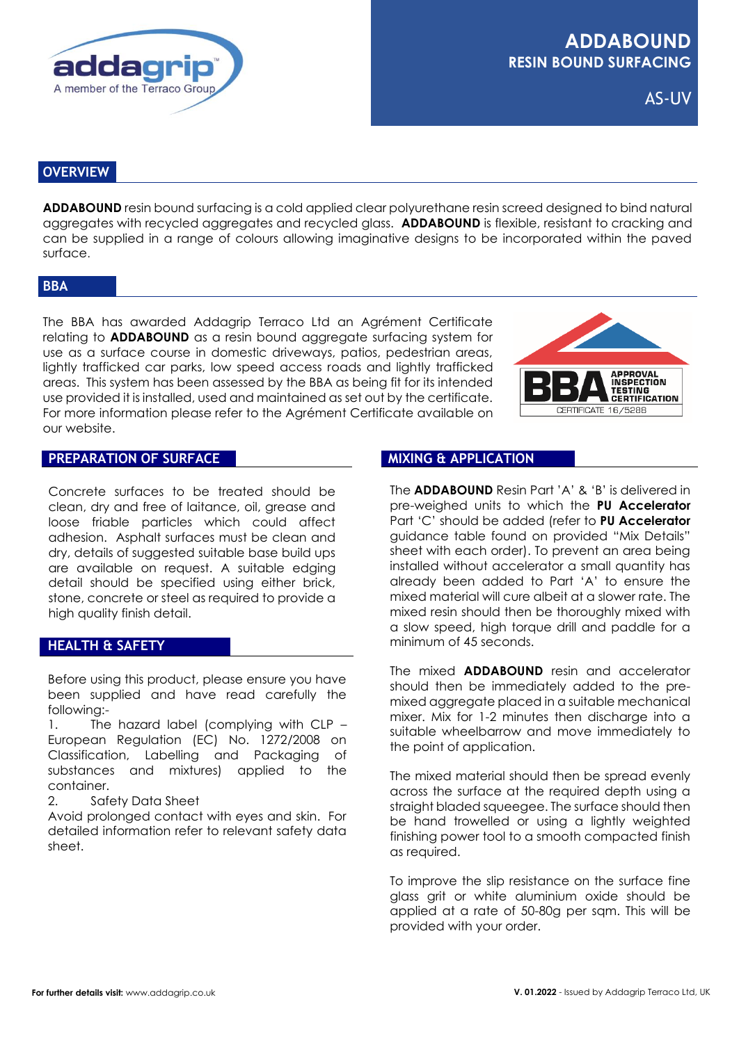

AS-UV

## **OVERVIEW**

**ADDABOUND** resin bound surfacing is a cold applied clear polyurethane resin screed designed to bind natural aggregates with recycled aggregates and recycled glass. **ADDABOUND** is flexible, resistant to cracking and can be supplied in a range of colours allowing imaginative designs to be incorporated within the paved surface.

#### **BBA**

The BBA has awarded Addagrip Terraco Ltd an Agrément Certificate relating to **ADDABOUND** as a resin bound aggregate surfacing system for use as a surface course in domestic driveways, patios, pedestrian areas, lightly trafficked car parks, low speed access roads and lightly trafficked areas. This system has been assessed by the BBA as being fit for its intended use provided it is installed, used and maintained as set out by the certificate. For more information please refer to the Agrément Certificate available on our website.



#### **PREPARATION OF SURFACE**

Concrete surfaces to be treated should be clean, dry and free of laitance, oil, grease and loose friable particles which could affect adhesion. Asphalt surfaces must be clean and dry, details of suggested suitable base build ups are available on request. A suitable edging detail should be specified using either brick, stone, concrete or steel as required to provide a high quality finish detail.

## **HEALTH & SAFETY**

Before using this product, please ensure you have been supplied and have read carefully the following:-

1. The hazard label (complying with CLP – European Regulation (EC) No. 1272/2008 on Classification, Labelling and Packaging of substances and mixtures) applied to the container.

2. Safety Data Sheet

Avoid prolonged contact with eyes and skin. For detailed information refer to relevant safety data sheet.

#### **MIXING & APPLICATION**

The **ADDABOUND** Resin Part 'A' & 'B' is delivered in pre-weighed units to which the **PU Accelerator** Part 'C' should be added (refer to **PU Accelerator** guidance table found on provided "Mix Details" sheet with each order). To prevent an area being installed without accelerator a small quantity has already been added to Part 'A' to ensure the mixed material will cure albeit at a slower rate. The mixed resin should then be thoroughly mixed with a slow speed, high torque drill and paddle for a minimum of 45 seconds.

The mixed **ADDABOUND** resin and accelerator should then be immediately added to the premixed aggregate placed in a suitable mechanical mixer. Mix for 1-2 minutes then discharge into a suitable wheelbarrow and move immediately to the point of application.

The mixed material should then be spread evenly across the surface at the required depth using a straight bladed squeegee. The surface should then be hand trowelled or using a lightly weighted finishing power tool to a smooth compacted finish as required.

To improve the slip resistance on the surface fine glass grit or white aluminium oxide should be applied at a rate of 50-80g per sqm. This will be provided with your order.